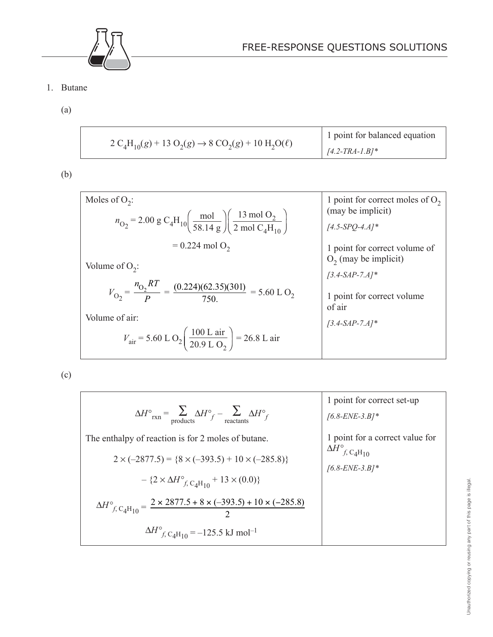

- 1. Butane
	- (a)

| $2 C_4H_{10}(g) + 13 O_2(g) \rightarrow 8 CO_2(g) + 10 H_2O(\ell)$ | 1 point for balanced equation<br>$1/4.2$ -TRA-1.B]* |
|--------------------------------------------------------------------|-----------------------------------------------------|
|--------------------------------------------------------------------|-----------------------------------------------------|

(b)

| Moles of $O_2$ :                                                                                                                                                                  | 1 point for correct moles of $O_2$<br>(may be implicit)  |
|-----------------------------------------------------------------------------------------------------------------------------------------------------------------------------------|----------------------------------------------------------|
| $n_{\text{O}_2}$ = 2.00 g C <sub>4</sub> H <sub>10</sub> $\left(\frac{\text{mol}}{58.14 \text{ g}}\right) \left(\frac{13 \text{ mol O}_2}{2 \text{ mol C}_4\text{H}_{10}}\right)$ | $[4.5-SPO-4.A]$ *                                        |
| $= 0.224$ mol O <sub>2</sub>                                                                                                                                                      | 1 point for correct volume of<br>$O_2$ (may be implicit) |
| Volume of $O_2$ :                                                                                                                                                                 | $[3.4-SAP-7.A]^*$                                        |
| $V_{\text{O}_2} = \frac{n_{\text{O}_2}RT}{R} = \frac{(0.224)(62.35)(301)}{750} = 5.60 \text{ L O}_2$                                                                              | 1 point for correct volume<br>of air                     |
| Volume of air:<br>$V_{\text{air}}$ = 5.60 L O <sub>2</sub> $\left(\frac{100 \text{ L air}}{20.9 \text{ L O}_{2}}\right)$ = 26.8 L air                                             | $[3.4-SAP-7.A]^*$                                        |

(c)

$$
\Delta H^{\circ}{}_{\text{rxn}} = \sum_{\text{products}} \Delta H^{\circ}{}_{f} - \sum_{\text{reactants}} \Delta H^{\circ}{}_{f}
$$
\nThe enthalpy of reaction is for 2 moles of butane.  
\n
$$
2 \times (-2877.5) = \{8 \times (-393.5) + 10 \times (-285.8)\}
$$
\n
$$
- \{2 \times \Delta H^{\circ}{}_{f, \text{C}_4\text{H}_{10}} + 13 \times (0.0)\}
$$
\n
$$
\Delta H^{\circ}{}_{f, \text{C}_4\text{H}_{10}} = \frac{2 \times 2877.5 + 8 \times (-393.5) + 10 \times (-285.8)}{2}
$$
\n
$$
\Delta H^{\circ}{}_{f, \text{C}_4\text{H}_{10}} = -125.5 \text{ kJ mol}^{-1}
$$
\n
$$
\Delta H^{\circ}{}_{f, \text{C}_4\text{H}_{10}} = -125.5 \text{ kJ mol}^{-1}
$$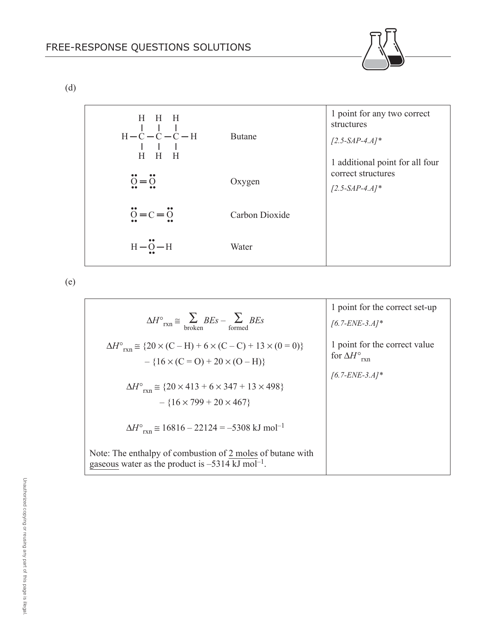(d)



(e)

|                                                                                                                                     | 1 point for the correct set-up                                  |
|-------------------------------------------------------------------------------------------------------------------------------------|-----------------------------------------------------------------|
| $\Delta H^{\circ}{}_{rxn} \cong \sum_{\text{broken}} BEs - \sum_{\text{formed}} BEs$                                                | $[6.7-ENE-3.4]*$                                                |
| $\Delta H^{\circ}{}_{\rm rxn} \cong \{20 \times (C - H) + 6 \times (C - C) + 13 \times (0 = 0)\}$                                   | 1 point for the correct value<br>for $\Delta H^\circ_{\rm rxn}$ |
| $- {16 \times (C = O) + 20 \times (O - H)}$                                                                                         |                                                                 |
|                                                                                                                                     | $[6.7-ENE-3.4]*$                                                |
| $\Delta H^{\circ}$ <sub>ryn</sub> $\approx$ {20 × 413 + 6 × 347 + 13 × 498}                                                         |                                                                 |
| $- {16 \times 799 + 20 \times 467}$                                                                                                 |                                                                 |
| $\Delta H^{\circ}$ <sub>ryn</sub> $\approx 16816 - 22124 = -5308$ kJ mol <sup>-1</sup>                                              |                                                                 |
| Note: The enthalpy of combustion of 2 moles of butane with<br>gaseous water as the product is $-5314 \text{ kJ} \text{ mol}^{-1}$ . |                                                                 |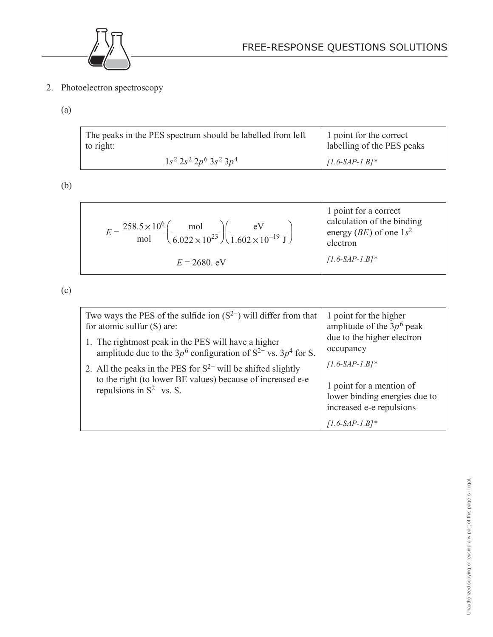

2. Photoelectron spectroscopy

## (a)

| The peaks in the PES spectrum should be labelled from left | 1 point for the correct    |
|------------------------------------------------------------|----------------------------|
| to right:                                                  | labelling of the PES peaks |
| $1s^2 2s^2 2p^6 3s^2 3p^4$                                 | $\left[$ [1.6-SAP-1.B]*    |

(b)

| $258.5 \times 10^{6}$                              | 1 point for a correct              |
|----------------------------------------------------|------------------------------------|
| mol                                                | calculation of the binding         |
| $(6.022 \times 10^{23})$ $(1.602 \times 10^{-19})$ | energy ( <i>BE</i> ) of one $1s^2$ |
| mol                                                | electron                           |
| $E = 2680$ . eV                                    | $[1.6-SAP-1.B]^*$                  |

(c)

| Two ways the PES of the sulfide ion $(S^{2-})$ will differ from that<br>for atomic sulfur (S) are:                                                               | 1 point for the higher<br>amplitude of the $3p^6$ peak                                                     |
|------------------------------------------------------------------------------------------------------------------------------------------------------------------|------------------------------------------------------------------------------------------------------------|
| 1. The rightmost peak in the PES will have a higher<br>amplitude due to the $3p^6$ configuration of $S^{2-}$ vs. $3p^4$ for S.                                   | due to the higher electron<br>occupancy                                                                    |
| 2. All the peaks in the PES for $S^{2-}$ will be shifted slightly<br>to the right (to lower BE values) because of increased e-e<br>repulsions in $S^{2-}$ vs. S. | $[1.6-SAP-1.B]^*$<br>1 point for a mention of<br>lower binding energies due to<br>increased e-e repulsions |
|                                                                                                                                                                  | $[1.6-SAP-1.B]$ *                                                                                          |